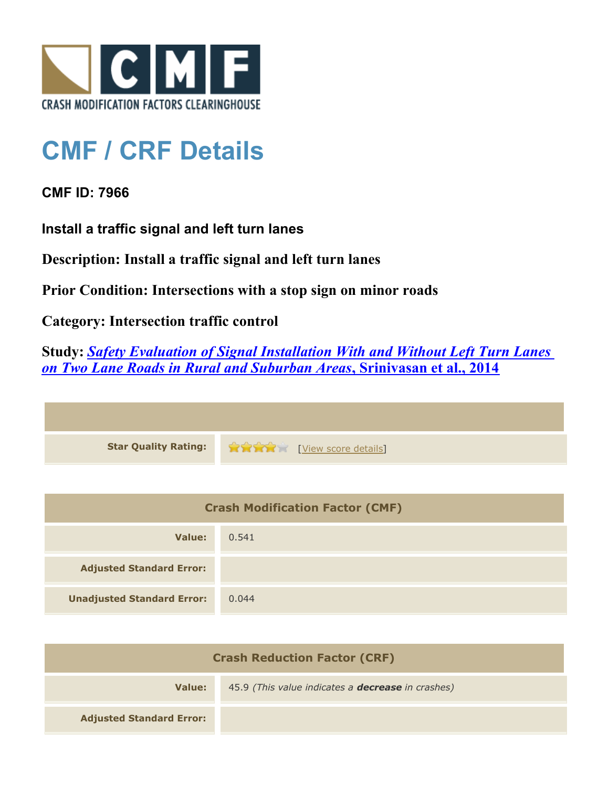

## **CMF / CRF Details**

**CMF ID: 7966**

**Install a traffic signal and left turn lanes**

**Description: Install a traffic signal and left turn lanes**

**Prior Condition: Intersections with a stop sign on minor roads**

**Category: Intersection traffic control**

**Study:** *[Safety Evaluation of Signal Installation With and Without Left Turn Lanes](http://www.cmfclearinghouse.org/study_detail.cfm?stid=444) [on Two Lane Roads in Rural and Suburban Areas](http://www.cmfclearinghouse.org/study_detail.cfm?stid=444)***[, Srinivasan et al., 2014](http://www.cmfclearinghouse.org/study_detail.cfm?stid=444)**

| <b>Star Quality Rating:</b> | View score details |
|-----------------------------|--------------------|

| <b>Crash Modification Factor (CMF)</b> |       |
|----------------------------------------|-------|
| Value:                                 | 0.541 |
| <b>Adjusted Standard Error:</b>        |       |
| <b>Unadjusted Standard Error:</b>      | 0.044 |

| <b>Crash Reduction Factor (CRF)</b> |                                                          |
|-------------------------------------|----------------------------------------------------------|
| Value:                              | 45.9 (This value indicates a <b>decrease</b> in crashes) |
| <b>Adjusted Standard Error:</b>     |                                                          |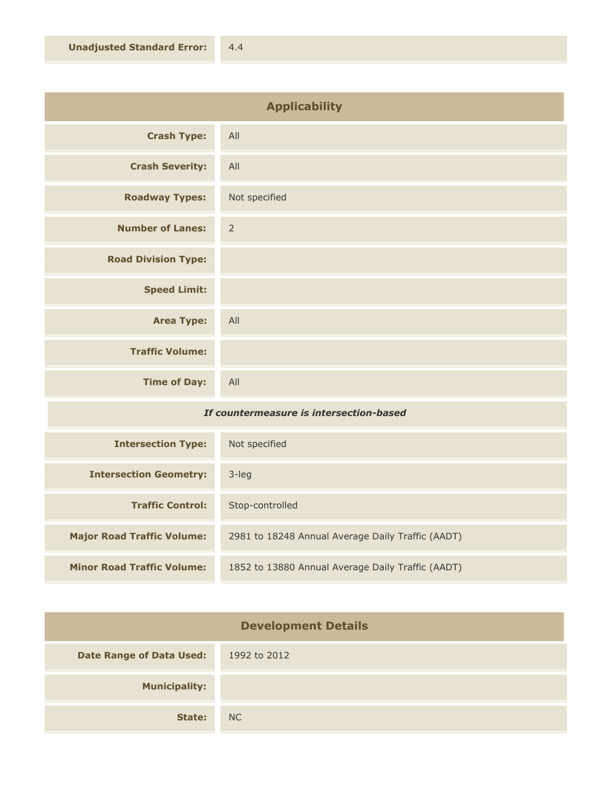| <b>Applicability</b>       |                |
|----------------------------|----------------|
| <b>Crash Type:</b>         | All            |
| <b>Crash Severity:</b>     | All            |
| <b>Roadway Types:</b>      | Not specified  |
| <b>Number of Lanes:</b>    | $\overline{2}$ |
| <b>Road Division Type:</b> |                |
| <b>Speed Limit:</b>        |                |
| <b>Area Type:</b>          | All            |
| <b>Traffic Volume:</b>     |                |
| <b>Time of Day:</b>        | All            |

## *If countermeasure is intersection-based*

| <b>Intersection Type:</b>         | Not specified                                     |
|-----------------------------------|---------------------------------------------------|
| <b>Intersection Geometry:</b>     | $3$ -leg                                          |
| <b>Traffic Control:</b>           | Stop-controlled                                   |
| <b>Major Road Traffic Volume:</b> | 2981 to 18248 Annual Average Daily Traffic (AADT) |
| <b>Minor Road Traffic Volume:</b> | 1852 to 13880 Annual Average Daily Traffic (AADT) |

| <b>Development Details</b>      |              |
|---------------------------------|--------------|
| <b>Date Range of Data Used:</b> | 1992 to 2012 |
| <b>Municipality:</b>            |              |
| State:                          | NC           |